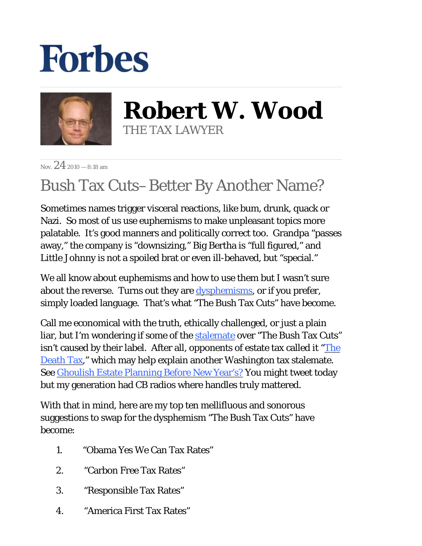## **Forbes**



**Robert W. Wood** THE TAX LAWYER

Nov.  $24$  2010 – 8:18 am

## Bush Tax Cuts–Better By Another Name?

Sometimes names trigger visceral reactions, like bum, drunk, quack or Nazi. So most of us use euphemisms to make unpleasant topics more palatable. It's good manners and politically correct too. Grandpa "passes away," the company is "downsizing," Big Bertha is "full figured," and Little Johnny is not a spoiled brat or even ill-behaved, but "special."

We all know about euphemisms and how to use them but I wasn't sure about the reverse. Turns out they are <u>dysphemisms</u>, or if you prefer, simply loaded language. That's what "The Bush Tax Cuts" have become.

Call me economical with the truth, ethically challenged, or just a plain liar, but I'm wondering if some of the [stalemate](http://www.nytimes.com/2010/11/07/us/07fiscal.html?partner=rss&emc=rss) over "The Bush Tax Cuts" isn't caused by their label. After all, opponents of estate tax called it ["The](http://www.nodeathtax.org/deathtax/killthedeathtax) [Death Tax,](http://www.nodeathtax.org/deathtax/killthedeathtax)" which may help explain another Washington tax stalemate. See [Ghoulish Estate Planning Before New Year's?](http://blogs.forbes.com/robertwood/2010/11/22/ghoulish-estate-planning-before-new-years/) You might tweet today but my generation had CB radios where handles truly mattered.

With that in mind, here are my top ten mellifluous and sonorous suggestions to swap for the dysphemism "The Bush Tax Cuts" have become:

- 1. "Obama Yes We Can Tax Rates"
- 2. "Carbon Free Tax Rates"
- 3. "Responsible Tax Rates"
- 4. "America First Tax Rates"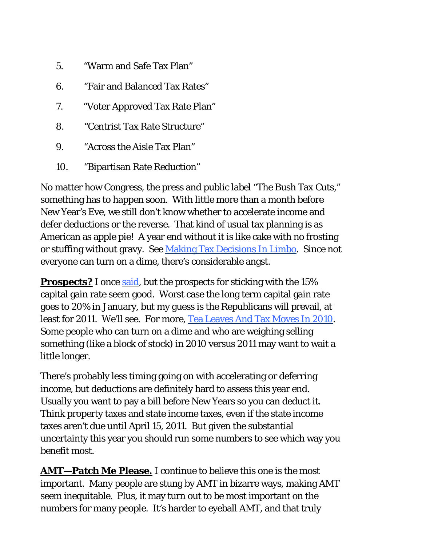- 5. "Warm and Safe Tax Plan"
- 6. "Fair and Balanced Tax Rates"
- 7. "Voter Approved Tax Rate Plan"
- 8. "Centrist Tax Rate Structure"
- 9. "Across the Aisle Tax Plan"
- 10. "Bipartisan Rate Reduction"

No matter how Congress, the press and public label "The Bush Tax Cuts," something has to happen soon. With little more than a month before New Year's Eve, we still don't know whether to accelerate income and defer deductions or the reverse. That kind of usual tax planning is as American as apple pie! A year end without it is like cake with no frosting or stuffing without gravy. See [Making Tax Decisions In Limbo](http://www.forbes.com/2010/09/08/expiring-tax-cuts-planning-capital-gains-personal-finance-robert-wood.html). Since not everyone can turn on a dime, there's considerable angst.

**Prospects?** I once [said](http://blogs.forbes.com/robertwood/2010/11/03/prospects-dimming-for-post-election-tax-cuts/), but the prospects for sticking with the 15% capital gain rate seem good. Worst case the long term capital gain rate goes to 20% in January, but my guess is the Republicans will prevail, at least for 2011. We'll see. For more[, Tea Leaves And Tax Moves In 2010](http://blogs.forbes.com/robertwood/2010/09/15/tea-leaves-and-tax-moves-in-2010/). Some people who can turn on a dime and who are weighing selling something (like a block of stock) in 2010 versus 2011 may want to wait a little longer.

There's probably less timing going on with accelerating or deferring income, but deductions are definitely hard to assess this year end. Usually you want to pay a bill before New Years so you can deduct it. Think property taxes and state income taxes, even if the state income taxes aren't due until April 15, 2011. But given the substantial uncertainty this year you should run some numbers to see which way you benefit most.

**AMT—Patch Me Please.** I continue to believe this one is the most important. Many people are stung by AMT in bizarre ways, making AMT seem inequitable. Plus, it may turn out to be most important on the numbers for many people. It's harder to eyeball AMT, and that truly